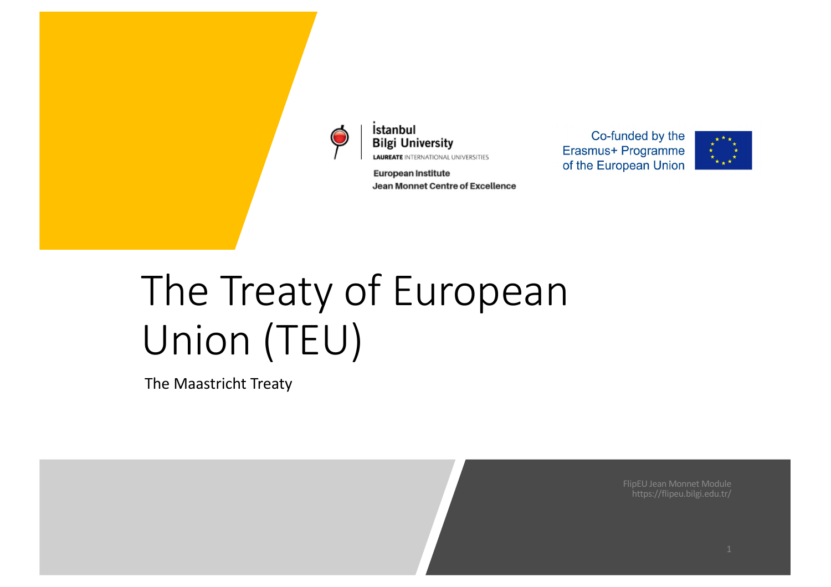

İstanbul **Bilgi University LAUREATE INTERNATIONAL UNIVERSITIES** 

**European Institute** Jean Monnet Centre of Excellence

Co-funded by the Erasmus+ Programme of the European Union



# The Treaty of European Union (TEU)

The Maastricht Treaty

FlipEU Jean Monnet Module https://flipeu.bilgi.edu.tr/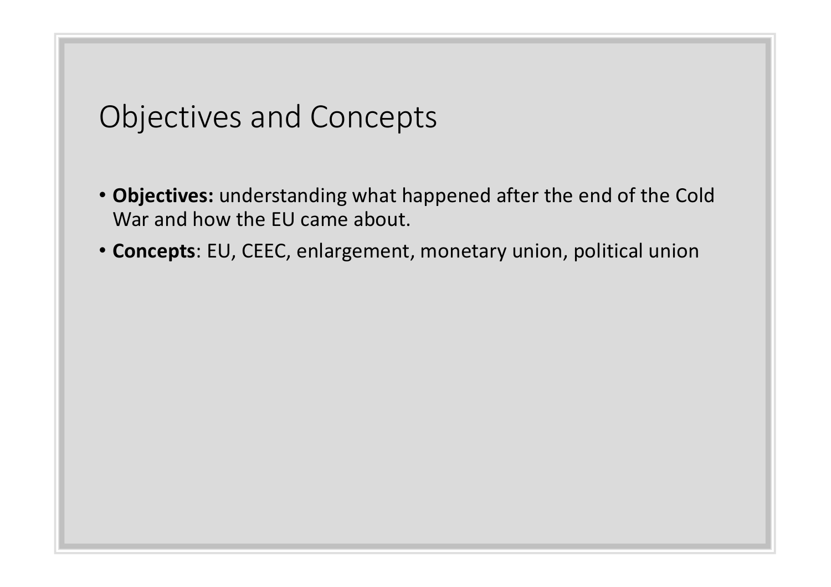#### Objectives and Concepts

- **Objectives:** understanding what happened after the end of the Cold War and how the EU came about.
- **Concepts**: EU, CEEC, enlargement, monetary union, political union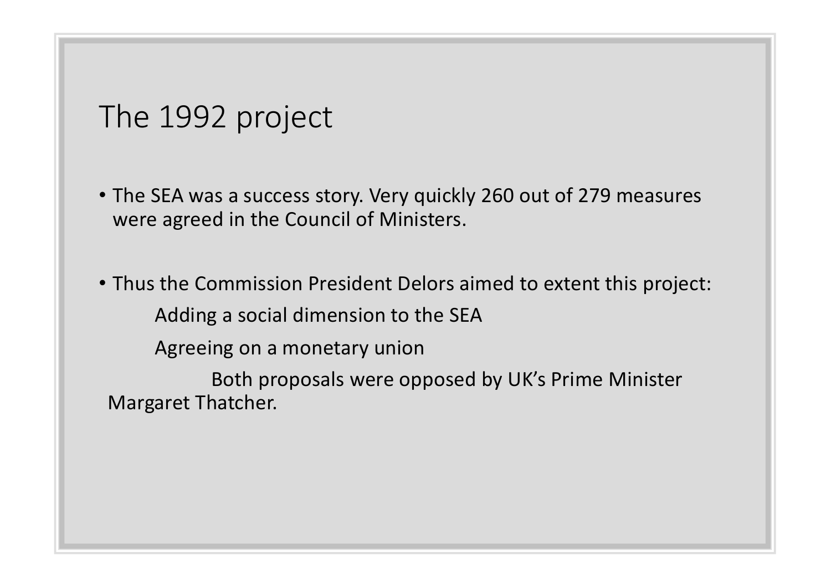#### The 1992 project

- The SEA was a success story. Very quickly 260 out of 279 measures were agreed in the Council of Ministers.
- Thus the Commission President Delors aimed to extent this project: Adding a social dimension to the SEA Agreeing on a monetary union

Both proposals were opposed by UK's Prime Minister Margaret Thatcher.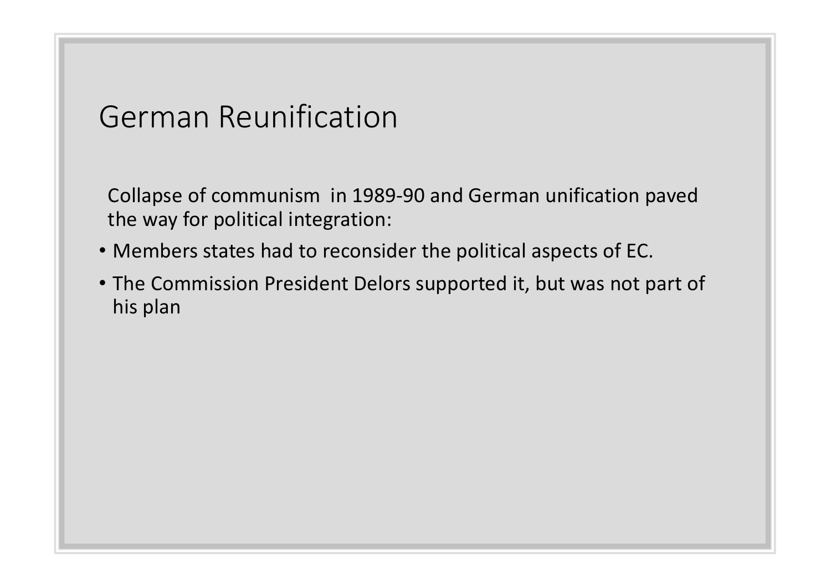## German Reunification

Collapse of communism in 1989-90 and German unification paved the way for political integration:

- Members states had to reconsider the political aspects of EC.
- The Commission President Delors supported it, but was not part of his plan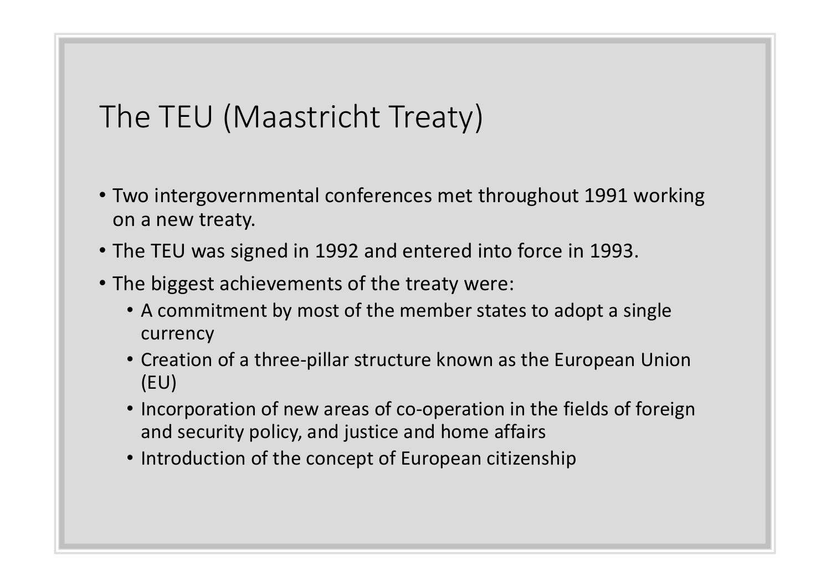## The TEU (Maastricht Treaty)

- Two intergovernmental conferences met throughout 1991 working on a new treaty.
- The TEU was signed in 1992 and entered into force in 1993.
- The biggest achievements of the treaty were:
	- A commitment by most of the member states to adopt a single currency
	- Creation of a three-pillar structure known as the European Union (EU)
	- Incorporation of new areas of co-operation in the fields of foreign and security policy, and justice and home affairs
	- Introduction of the concept of European citizenship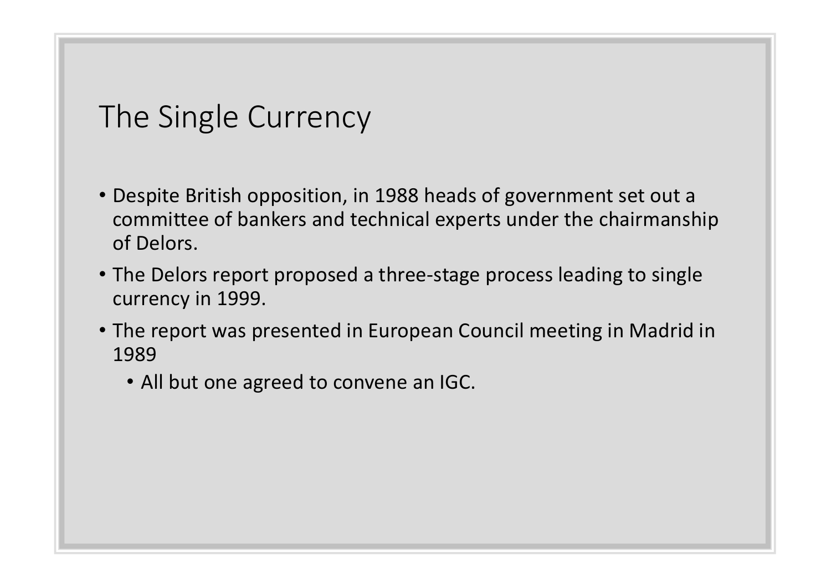# The Single Currency

- Despite British opposition, in 1988 heads of government set out a committee of bankers and technical experts under the chairmanship of Delors.
- The Delors report proposed a three-stage process leading to single currency in 1999.
- The report was presented in European Council meeting in Madrid in 1989
	- All but one agreed to convene an IGC.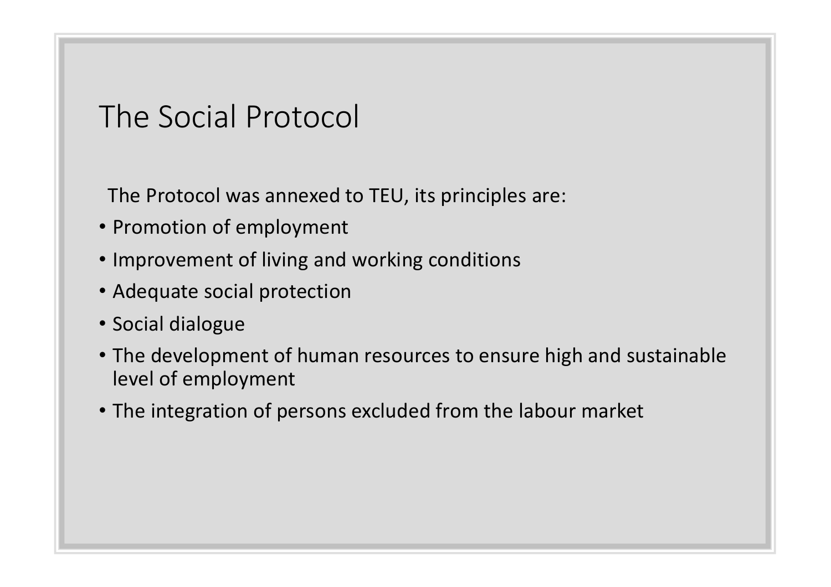## The Social Protocol

The Protocol was annexed to TEU, its principles are:

- Promotion of employment
- Improvement of living and working conditions
- Adequate social protection
- Social dialogue
- The development of human resources to ensure high and sustainable level of employment
- The integration of persons excluded from the labour market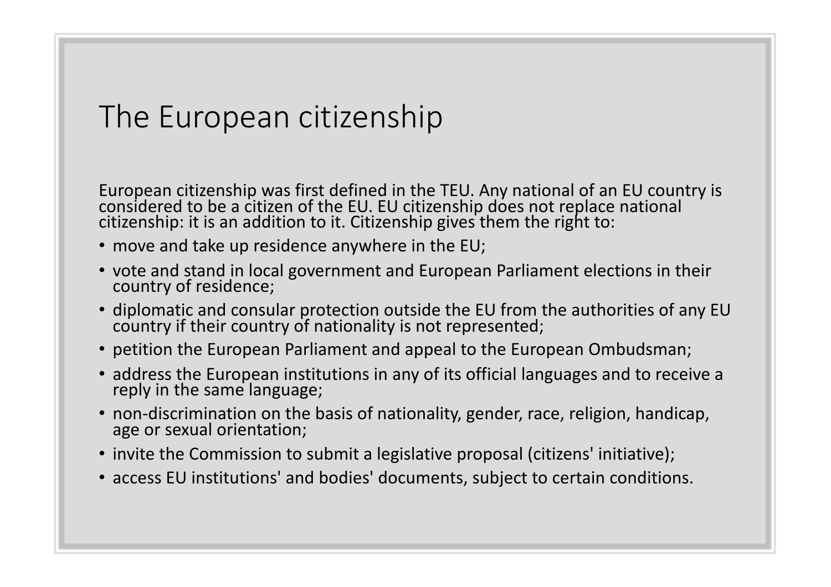## The European citizenship

European citizenship was first defined in the TEU. Any national of an EU country is considered to be a citizen of the EU. EU citizenship does not replace national citizenship: it is an addition to it. Citizenship gives them the right to:

- move and take up residence anywhere in the EU;
- vote and stand in local government and European Parliament elections in their country of residence;
- diplomatic and consular protection outside the EU from the authorities of any EU country if their country of nationality is not represented;
- petition the European Parliament and appeal to the European Ombudsman;
- address the European institutions in any of its official languages and to receive a reply in the same language;
- non-discrimination on the basis of nationality, gender, race, religion, handicap, age or sexual orientation;
- invite the Commission to submit a legislative proposal (citizens' initiative);
- access EU institutions' and bodies' documents, subject to certain conditions.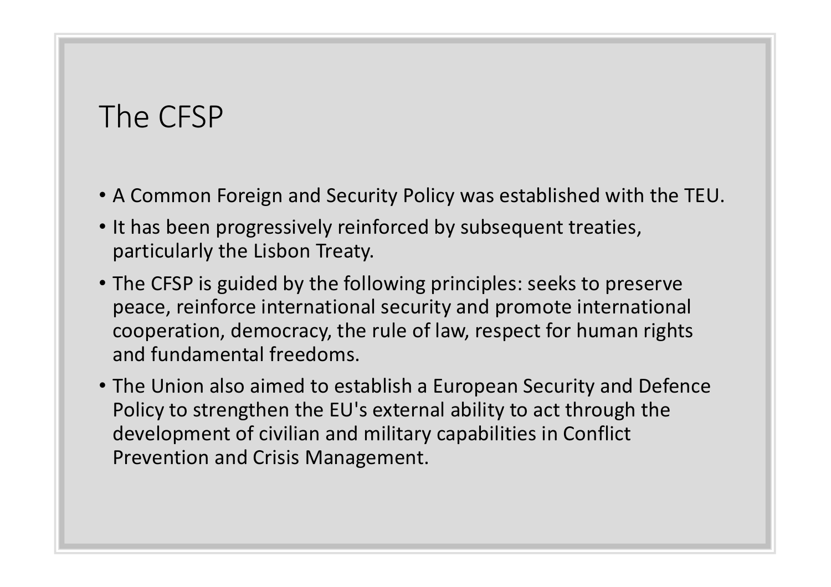## The CFSP

- A Common Foreign and Security Policy was established with the TEU.
- It has been progressively reinforced by subsequent treaties, particularly the Lisbon Treaty.
- The CFSP is guided by the following principles: seeks to preserve peace, reinforce international security and promote international cooperation, democracy, the rule of law, respect for human rights and fundamental freedoms.
- The Union also aimed to establish a European Security and Defence Policy to strengthen the EU's external ability to act through the development of civilian and military capabilities in Conflict Prevention and Crisis Management.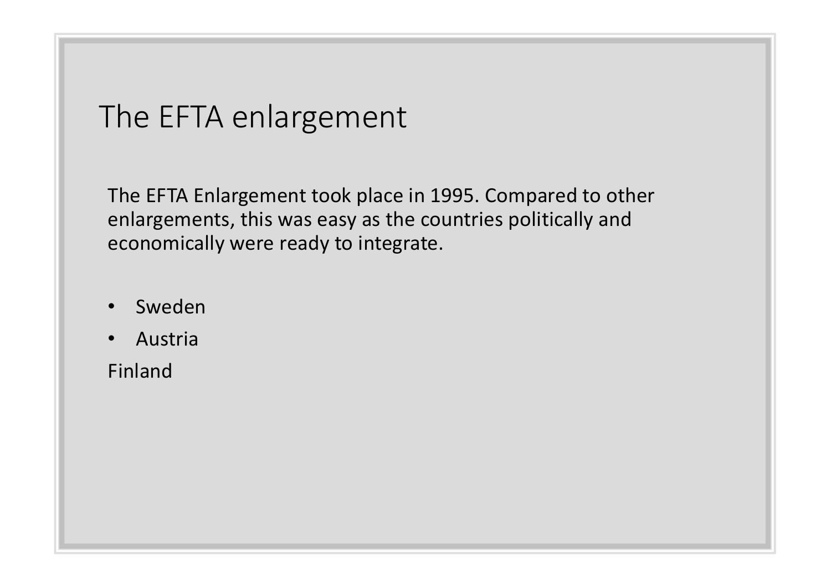## The EFTA enlargement

The EFTA Enlargement took place in 1995. Compared to other enlargements, this was easy as the countries politically and economically were ready to integrate.

- Sweden
- Austria

Finland